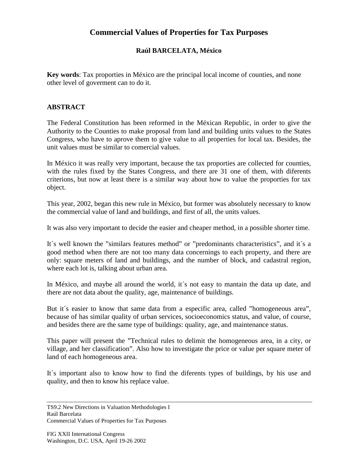## **Commercial Values of Properties for Tax Purposes**

## **Raúl BARCELATA, México**

**Key words**: Tax proporties in México are the principal local income of counties, and none other level of goverment can to do it.

## **ABSTRACT**

The Federal Constitution has been reformed in the Méxican Republic, in order to give the Authority to the Counties to make proposal from land and building units values to the States Congress, who have to aprove them to give value to all properties for local tax. Besides, the unit values must be similar to comercial values.

In México it was really very important, because the tax proporties are collected for counties, with the rules fixed by the States Congress, and there are 31 one of them, with diferents criterions, but now at least there is a similar way about how to value the proporties for tax object.

This year, 2002, began this new rule in México, but former was absolutely necessary to know the commercial value of land and buildings, and first of all, the units values.

It was also very important to decide the easier and cheaper method, in a possible shorter time.

It´s well known the "similars features method" or "predominants characteristics", and it´s a good method when there are not too many data concernings to each property, and there are only: square meters of land and buildings, and the number of block, and cadastral region, where each lot is, talking about urban area.

In México, and maybe all around the world, it's not easy to mantain the data up date, and there are not data about the quality, age, maintenance of buildings.

But it's easier to know that same data from a especific area, called "homogeneous area", because of has similar quality of urban services, socioeconomics status, and value, of course, and besides there are the same type of buildings: quality, age, and maintenance status.

This paper will present the "Technical rules to delimit the homogeneous area, in a city, or village, and her classification". Also how to investigate the price or value per square meter of land of each homogeneous area.

It´s important also to know how to find the diferents types of buildings, by his use and quality, and then to know his replace value.

Commercial Values of Properties for Tax Purposes